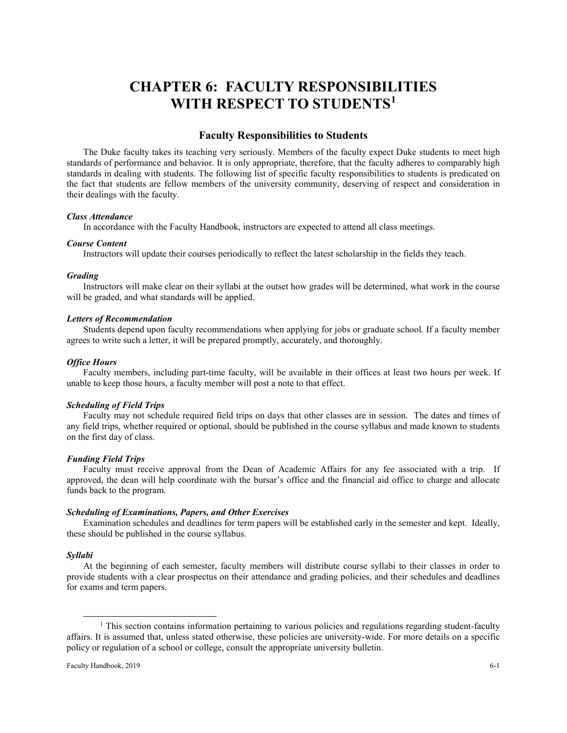# **CHAPTER 6: FACULTY RESPONSIBILITIES WITH RESPECT TO STUDENTS[1](#page-0-0)**

# **Faculty Responsibilities to Students**

The Duke faculty takes its teaching very seriously. Members of the faculty expect Duke students to meet high standards of performance and behavior. It is only appropriate, therefore, that the faculty adheres to comparably high standards in dealing with students. The following list of specific faculty responsibilities to students is predicated on the fact that students are fellow members of the university community, deserving of respect and consideration in their dealings with the faculty.

#### *Class Attendance*

In accordance with the Faculty Handbook, instructors are expected to attend all class meetings.

## *Course Content*

Instructors will update their courses periodically to reflect the latest scholarship in the fields they teach.

#### *Grading*

Instructors will make clear on their syllabi at the outset how grades will be determined, what work in the course will be graded, and what standards will be applied.

#### *Letters of Recommendation*

Students depend upon faculty recommendations when applying for jobs or graduate school. If a faculty member agrees to write such a letter, it will be prepared promptly, accurately, and thoroughly.

### *Office Hours*

Faculty members, including part-time faculty, will be available in their offices at least two hours per week. If unable to keep those hours, a faculty member will post a note to that effect.

#### *Scheduling of Field Trips*

Faculty may not schedule required field trips on days that other classes are in session. The dates and times of any field trips, whether required or optional, should be published in the course syllabus and made known to students on the first day of class.

#### *Funding Field Trips*

Faculty must receive approval from the Dean of Academic Affairs for any fee associated with a trip. If approved, the dean will help coordinate with the bursar's office and the financial aid office to charge and allocate funds back to the program.

#### *Scheduling of Examinations, Papers, and Other Exercises*

Examination schedules and deadlines for term papers will be established early in the semester and kept. Ideally, these should be published in the course syllabus.

# *Syllabi*

At the beginning of each semester, faculty members will distribute course syllabi to their classes in order to provide students with a clear prospectus on their attendance and grading policies, and their schedules and deadlines for exams and term papers.

<span id="page-0-0"></span><sup>&</sup>lt;sup>1</sup> This section contains information pertaining to various policies and regulations regarding student-faculty affairs. It is assumed that, unless stated otherwise, these policies are university-wide. For more details on a specific policy or regulation of a school or college, consult the appropriate university bulletin.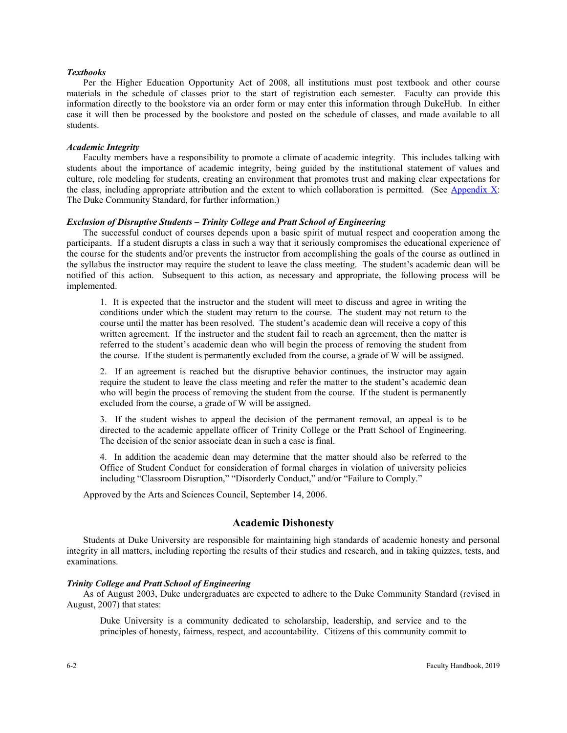# *Textbooks*

Per the Higher Education Opportunity Act of 2008, all institutions must post textbook and other course materials in the schedule of classes prior to the start of registration each semester. Faculty can provide this information directly to the bookstore via an order form or may enter this information through DukeHub. In either case it will then be processed by the bookstore and posted on the schedule of classes, and made available to all students.

#### *Academic Integrity*

Faculty members have a responsibility to promote a climate of academic integrity. This includes talking with students about the importance of academic integrity, being guided by the institutional statement of values and culture, role modeling for students, creating an environment that promotes trust and making clear expectations for the class, including appropriate attribution and the extent to which collaboration is permitted. (See [Appendix X:](https://provost.duke.edu/sites/default/files/FHB_App_X.pdf) The Duke Community Standard, for further information.)

#### *Exclusion of Disruptive Students – Trinity College and Pratt School of Engineering*

The successful conduct of courses depends upon a basic spirit of mutual respect and cooperation among the participants. If a student disrupts a class in such a way that it seriously compromises the educational experience of the course for the students and/or prevents the instructor from accomplishing the goals of the course as outlined in the syllabus the instructor may require the student to leave the class meeting. The student's academic dean will be notified of this action. Subsequent to this action, as necessary and appropriate, the following process will be implemented.

1. It is expected that the instructor and the student will meet to discuss and agree in writing the conditions under which the student may return to the course. The student may not return to the course until the matter has been resolved. The student's academic dean will receive a copy of this written agreement. If the instructor and the student fail to reach an agreement, then the matter is referred to the student's academic dean who will begin the process of removing the student from the course. If the student is permanently excluded from the course, a grade of W will be assigned.

2. If an agreement is reached but the disruptive behavior continues, the instructor may again require the student to leave the class meeting and refer the matter to the student's academic dean who will begin the process of removing the student from the course. If the student is permanently excluded from the course, a grade of W will be assigned.

3. If the student wishes to appeal the decision of the permanent removal, an appeal is to be directed to the academic appellate officer of Trinity College or the Pratt School of Engineering. The decision of the senior associate dean in such a case is final.

4. In addition the academic dean may determine that the matter should also be referred to the Office of Student Conduct for consideration of formal charges in violation of university policies including "Classroom Disruption," "Disorderly Conduct," and/or "Failure to Comply."

Approved by the Arts and Sciences Council, September 14, 2006.

# **Academic Dishonesty**

Students at Duke University are responsible for maintaining high standards of academic honesty and personal integrity in all matters, including reporting the results of their studies and research, and in taking quizzes, tests, and examinations.

#### *Trinity College and Pratt School of Engineering*

As of August 2003, Duke undergraduates are expected to adhere to the Duke Community Standard (revised in August, 2007) that states:

Duke University is a community dedicated to scholarship, leadership, and service and to the principles of honesty, fairness, respect, and accountability. Citizens of this community commit to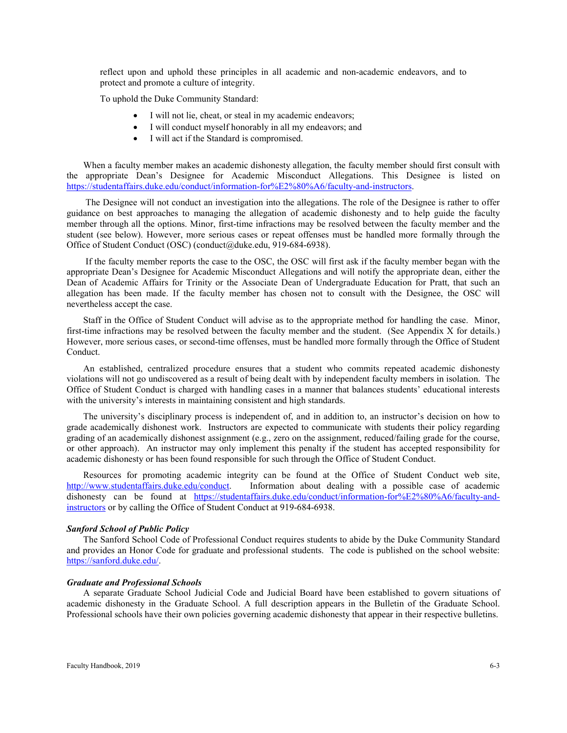reflect upon and uphold these principles in all academic and non-academic endeavors, and to protect and promote a culture of integrity.

To uphold the Duke Community Standard:

- I will not lie, cheat, or steal in my academic endeavors;
- I will conduct myself honorably in all my endeavors; and
- I will act if the Standard is compromised.

When a faculty member makes an academic dishonesty allegation, the faculty member should first consult with the appropriate Dean's Designee for Academic Misconduct Allegations. This Designee is listed on [https://studentaffairs.duke.edu/conduct/information-for%E2%80%A6/faculty-and-instructors.](https://studentaffairs.duke.edu/conduct/information-for%E2%80%A6/faculty-and-instructors)

The Designee will not conduct an investigation into the allegations. The role of the Designee is rather to offer guidance on best approaches to managing the allegation of academic dishonesty and to help guide the faculty member through all the options. Minor, first-time infractions may be resolved between the faculty member and the student (see below). However, more serious cases or repeat offenses must be handled more formally through the Office of Student Conduct (OSC) (conduct@duke.edu, 919-684-6938).

If the faculty member reports the case to the OSC, the OSC will first ask if the faculty member began with the appropriate Dean's Designee for Academic Misconduct Allegations and will notify the appropriate dean, either the Dean of Academic Affairs for Trinity or the Associate Dean of Undergraduate Education for Pratt, that such an allegation has been made. If the faculty member has chosen not to consult with the Designee, the OSC will nevertheless accept the case.

Staff in the Office of Student Conduct will advise as to the appropriate method for handling the case. Minor, first-time infractions may be resolved between the faculty member and the student. (See Appendix X for details.) However, more serious cases, or second-time offenses, must be handled more formally through the Office of Student Conduct.

An established, centralized procedure ensures that a student who commits repeated academic dishonesty violations will not go undiscovered as a result of being dealt with by independent faculty members in isolation. The Office of Student Conduct is charged with handling cases in a manner that balances students' educational interests with the university's interests in maintaining consistent and high standards.

The university's disciplinary process is independent of, and in addition to, an instructor's decision on how to grade academically dishonest work. Instructors are expected to communicate with students their policy regarding grading of an academically dishonest assignment (e.g., zero on the assignment, reduced/failing grade for the course, or other approach). An instructor may only implement this penalty if the student has accepted responsibility for academic dishonesty or has been found responsible for such through the Office of Student Conduct.

Resources for promoting academic integrity can be found at the Office of Student Conduct web site, [http://www.studentaffairs.duke.edu/conduct.](http://www.studentaffairs.duke.edu/conduct) Information about dealing with a possible case of academic dishonesty can be found at [https://studentaffairs.duke.edu/conduct/information-for%E2%80%A6/faculty-and](https://studentaffairs.duke.edu/conduct/information-for%E2%80%A6/faculty-and-instructors)[instructors](https://studentaffairs.duke.edu/conduct/information-for%E2%80%A6/faculty-and-instructors) or by calling the Office of Student Conduct at 919-684-6938.

#### *Sanford School of Public Policy*

The Sanford School Code of Professional Conduct requires students to abide by the Duke Community Standard and provides an Honor Code for graduate and professional students. The code is published on the school website: [https://sanford.duke.edu/.](https://sanford.duke.edu/)

#### *Graduate and Professional Schools*

A separate Graduate School Judicial Code and Judicial Board have been established to govern situations of academic dishonesty in the Graduate School. A full description appears in the Bulletin of the Graduate School. Professional schools have their own policies governing academic dishonesty that appear in their respective bulletins.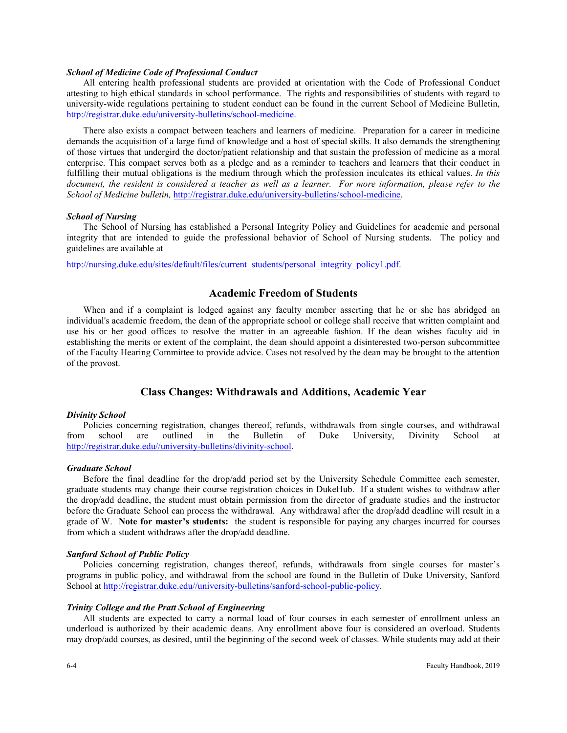### *School of Medicine Code of Professional Conduct*

All entering health professional students are provided at orientation with the Code of Professional Conduct attesting to high ethical standards in school performance. The rights and responsibilities of students with regard to university-wide regulations pertaining to student conduct can be found in the current School of Medicine Bulletin, [http://registrar.duke.edu/university-bulletins/school-medicine.](http://registrar.duke.edu/university-bulletins/school-medicine)

There also exists a compact between teachers and learners of medicine. Preparation for a career in medicine demands the acquisition of a large fund of knowledge and a host of special skills. It also demands the strengthening of those virtues that undergird the doctor/patient relationship and that sustain the profession of medicine as a moral enterprise. This compact serves both as a pledge and as a reminder to teachers and learners that their conduct in fulfilling their mutual obligations is the medium through which the profession inculcates its ethical values. *In this document, the resident is considered a teacher as well as a learner. For more information, please refer to the School of Medicine bulletin,* [http://registrar.duke.edu/university-bulletins/school-medicine.](http://registrar.duke.edu/university-bulletins/school-medicine)

#### *School of Nursing*

The School of Nursing has established a Personal Integrity Policy and Guidelines for academic and personal integrity that are intended to guide the professional behavior of School of Nursing students. The policy and guidelines are available at

[http://nursing.duke.edu/sites/default/files/current\\_students/personal\\_integrity\\_policy1.pdf.](http://nursing.duke.edu/sites/default/files/current_students/personal_integrity_policy1.pdf)

# **Academic Freedom of Students**

When and if a complaint is lodged against any faculty member asserting that he or she has abridged an individual's academic freedom, the dean of the appropriate school or college shall receive that written complaint and use his or her good offices to resolve the matter in an agreeable fashion. If the dean wishes faculty aid in establishing the merits or extent of the complaint, the dean should appoint a disinterested two-person subcommittee of the Faculty Hearing Committee to provide advice. Cases not resolved by the dean may be brought to the attention of the provost.

# **Class Changes: Withdrawals and Additions, Academic Year**

#### *Divinity School*

Policies concerning registration, changes thereof, refunds, withdrawals from single courses, and withdrawal from school are outlined in the Bulletin of Duke University, Divinity School at [http://registrar.duke.edu//university-bulletins/divinity-school.](http://registrar.duke.edu/university-bulletins/divinity-school)

#### *Graduate School*

Before the final deadline for the drop/add period set by the University Schedule Committee each semester, graduate students may change their course registration choices in DukeHub. If a student wishes to withdraw after the drop/add deadline, the student must obtain permission from the director of graduate studies and the instructor before the Graduate School can process the withdrawal. Any withdrawal after the drop/add deadline will result in a grade of W. **Note for master's students:** the student is responsible for paying any charges incurred for courses from which a student withdraws after the drop/add deadline.

#### *Sanford School of Public Policy*

Policies concerning registration, changes thereof, refunds, withdrawals from single courses for master's programs in public policy, and withdrawal from the school are found in the Bulletin of Duke University, Sanford School at [http://registrar.duke.edu//university-bulletins/sanford-school-public-policy.](http://registrar.duke.edu/university-bulletins/sanford-school-public-policy)

#### *Trinity College and the Pratt School of Engineering*

All students are expected to carry a normal load of four courses in each semester of enrollment unless an underload is authorized by their academic deans. Any enrollment above four is considered an overload. Students may drop/add courses, as desired, until the beginning of the second week of classes. While students may add at their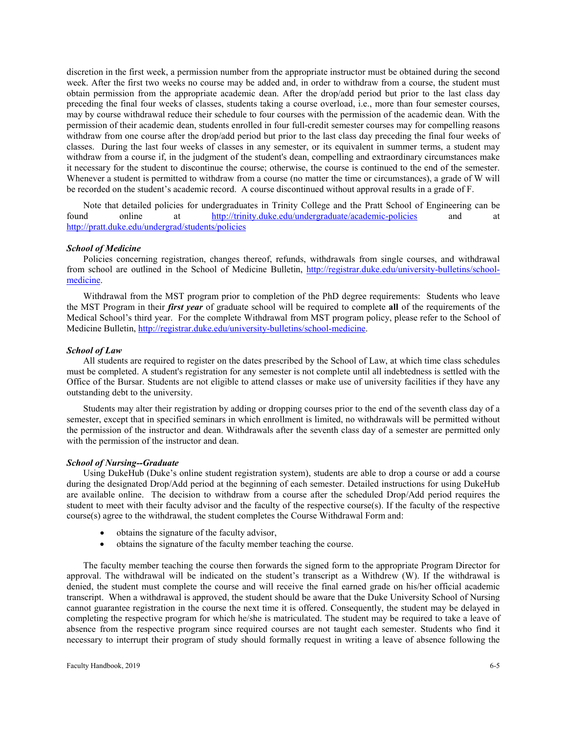discretion in the first week, a permission number from the appropriate instructor must be obtained during the second week. After the first two weeks no course may be added and, in order to withdraw from a course, the student must obtain permission from the appropriate academic dean. After the drop/add period but prior to the last class day preceding the final four weeks of classes, students taking a course overload, i.e., more than four semester courses, may by course withdrawal reduce their schedule to four courses with the permission of the academic dean. With the permission of their academic dean, students enrolled in four full-credit semester courses may for compelling reasons withdraw from one course after the drop/add period but prior to the last class day preceding the final four weeks of classes. During the last four weeks of classes in any semester, or its equivalent in summer terms, a student may withdraw from a course if, in the judgment of the student's dean, compelling and extraordinary circumstances make it necessary for the student to discontinue the course; otherwise, the course is continued to the end of the semester. Whenever a student is permitted to withdraw from a course (no matter the time or circumstances), a grade of W will be recorded on the student's academic record. A course discontinued without approval results in a grade of F.

Note that detailed policies for undergraduates in Trinity College and the Pratt School of Engineering can be found online at <http://trinity.duke.edu/undergraduate/academic-policies> and at <http://pratt.duke.edu/undergrad/students/policies>

#### *School of Medicine*

Policies concerning registration, changes thereof, refunds, withdrawals from single courses, and withdrawal from school are outlined in the School of Medicine Bulletin, [http://registrar.duke.edu/university-bulletins/school](http://registrar.duke.edu/university-bulletins/school-medicine)[medicine.](http://registrar.duke.edu/university-bulletins/school-medicine) 

Withdrawal from the MST program prior to completion of the PhD degree requirements: Students who leave the MST Program in their *first year* of graduate school will be required to complete **all** of the requirements of the Medical School's third year. For the complete Withdrawal from MST program policy, please refer to the School of Medicine Bulletin, [http://registrar.duke.edu/university-bulletins/school-medicine.](http://registrar.duke.edu/university-bulletins/school-medicine)

#### *School of Law*

All students are required to register on the dates prescribed by the School of Law, at which time class schedules must be completed. A student's registration for any semester is not complete until all indebtedness is settled with the Office of the Bursar. Students are not eligible to attend classes or make use of university facilities if they have any outstanding debt to the university.

Students may alter their registration by adding or dropping courses prior to the end of the seventh class day of a semester, except that in specified seminars in which enrollment is limited, no withdrawals will be permitted without the permission of the instructor and dean. Withdrawals after the seventh class day of a semester are permitted only with the permission of the instructor and dean.

# *School of Nursing--Graduate*

Using DukeHub (Duke's online student registration system), students are able to drop a course or add a course during the designated Drop/Add period at the beginning of each semester. Detailed instructions for using DukeHub are available online. The decision to withdraw from a course after the scheduled Drop/Add period requires the student to meet with their faculty advisor and the faculty of the respective course(s). If the faculty of the respective course(s) agree to the withdrawal, the student completes the Course Withdrawal Form and:

- obtains the signature of the faculty advisor,
- obtains the signature of the faculty member teaching the course.

The faculty member teaching the course then forwards the signed form to the appropriate Program Director for approval. The withdrawal will be indicated on the student's transcript as a Withdrew (W). If the withdrawal is denied, the student must complete the course and will receive the final earned grade on his/her official academic transcript. When a withdrawal is approved, the student should be aware that the Duke University School of Nursing cannot guarantee registration in the course the next time it is offered. Consequently, the student may be delayed in completing the respective program for which he/she is matriculated. The student may be required to take a leave of absence from the respective program since required courses are not taught each semester. Students who find it necessary to interrupt their program of study should formally request in writing a leave of absence following the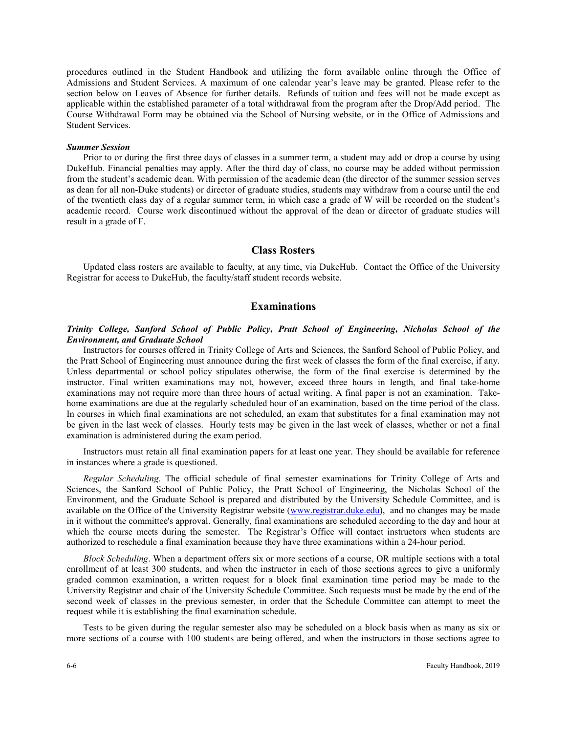procedures outlined in the Student Handbook and utilizing the form available online through the Office of Admissions and Student Services. A maximum of one calendar year's leave may be granted. Please refer to the section below on Leaves of Absence for further details. Refunds of tuition and fees will not be made except as applicable within the established parameter of a total withdrawal from the program after the Drop/Add period. The Course Withdrawal Form may be obtained via the School of Nursing website, or in the Office of Admissions and Student Services.

#### *Summer Session*

Prior to or during the first three days of classes in a summer term, a student may add or drop a course by using DukeHub. Financial penalties may apply. After the third day of class, no course may be added without permission from the student's academic dean. With permission of the academic dean (the director of the summer session serves as dean for all non-Duke students) or director of graduate studies, students may withdraw from a course until the end of the twentieth class day of a regular summer term, in which case a grade of W will be recorded on the student's academic record. Course work discontinued without the approval of the dean or director of graduate studies will result in a grade of F.

# **Class Rosters**

Updated class rosters are available to faculty, at any time, via DukeHub. Contact the Office of the University Registrar for access to DukeHub, the faculty/staff student records website.

# **Examinations**

## *Trinity College, Sanford School of Public Policy, Pratt School of Engineering, Nicholas School of the Environment, and Graduate School*

Instructors for courses offered in Trinity College of Arts and Sciences, the Sanford School of Public Policy, and the Pratt School of Engineering must announce during the first week of classes the form of the final exercise, if any. Unless departmental or school policy stipulates otherwise, the form of the final exercise is determined by the instructor. Final written examinations may not, however, exceed three hours in length, and final take-home examinations may not require more than three hours of actual writing. A final paper is not an examination. Takehome examinations are due at the regularly scheduled hour of an examination, based on the time period of the class. In courses in which final examinations are not scheduled, an exam that substitutes for a final examination may not be given in the last week of classes. Hourly tests may be given in the last week of classes, whether or not a final examination is administered during the exam period.

Instructors must retain all final examination papers for at least one year. They should be available for reference in instances where a grade is questioned.

*Regular Scheduling*. The official schedule of final semester examinations for Trinity College of Arts and Sciences, the Sanford School of Public Policy, the Pratt School of Engineering, the Nicholas School of the Environment, and the Graduate School is prepared and distributed by the University Schedule Committee, and is available on the Office of the University Registrar website [\(www.registrar.duke.edu\)](http://www.registrar.duke.edu/), and no changes may be made in it without the committee's approval. Generally, final examinations are scheduled according to the day and hour at which the course meets during the semester. The Registrar's Office will contact instructors when students are authorized to reschedule a final examination because they have three examinations within a 24-hour period.

*Block Scheduling*. When a department offers six or more sections of a course, OR multiple sections with a total enrollment of at least 300 students, and when the instructor in each of those sections agrees to give a uniformly graded common examination, a written request for a block final examination time period may be made to the University Registrar and chair of the University Schedule Committee. Such requests must be made by the end of the second week of classes in the previous semester, in order that the Schedule Committee can attempt to meet the request while it is establishing the final examination schedule.

Tests to be given during the regular semester also may be scheduled on a block basis when as many as six or more sections of a course with 100 students are being offered, and when the instructors in those sections agree to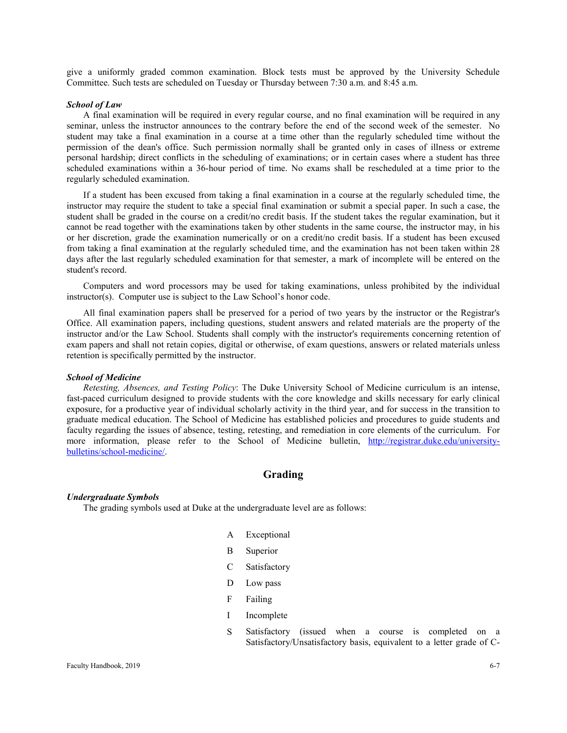give a uniformly graded common examination. Block tests must be approved by the University Schedule Committee. Such tests are scheduled on Tuesday or Thursday between 7:30 a.m. and 8:45 a.m.

#### *School of Law*

A final examination will be required in every regular course, and no final examination will be required in any seminar, unless the instructor announces to the contrary before the end of the second week of the semester. No student may take a final examination in a course at a time other than the regularly scheduled time without the permission of the dean's office. Such permission normally shall be granted only in cases of illness or extreme personal hardship; direct conflicts in the scheduling of examinations; or in certain cases where a student has three scheduled examinations within a 36-hour period of time. No exams shall be rescheduled at a time prior to the regularly scheduled examination.

If a student has been excused from taking a final examination in a course at the regularly scheduled time, the instructor may require the student to take a special final examination or submit a special paper. In such a case, the student shall be graded in the course on a credit/no credit basis. If the student takes the regular examination, but it cannot be read together with the examinations taken by other students in the same course, the instructor may, in his or her discretion, grade the examination numerically or on a credit/no credit basis. If a student has been excused from taking a final examination at the regularly scheduled time, and the examination has not been taken within 28 days after the last regularly scheduled examination for that semester, a mark of incomplete will be entered on the student's record.

Computers and word processors may be used for taking examinations, unless prohibited by the individual instructor(s). Computer use is subject to the Law School's honor code.

All final examination papers shall be preserved for a period of two years by the instructor or the Registrar's Office. All examination papers, including questions, student answers and related materials are the property of the instructor and/or the Law School. Students shall comply with the instructor's requirements concerning retention of exam papers and shall not retain copies, digital or otherwise, of exam questions, answers or related materials unless retention is specifically permitted by the instructor.

# *School of Medicine*

*Retesting, Absences, and Testing Policy*: The Duke University School of Medicine curriculum is an intense, fast-paced curriculum designed to provide students with the core knowledge and skills necessary for early clinical exposure, for a productive year of individual scholarly activity in the third year, and for success in the transition to graduate medical education. The School of Medicine has established policies and procedures to guide students and faculty regarding the issues of absence, testing, retesting, and remediation in core elements of the curriculum. For more information, please refer to the School of Medicine bulletin, [http://registrar.duke.edu/university](http://registrar.duke.edu/university-bulletins/school-medicine/)[bulletins/school-medicine/.](http://registrar.duke.edu/university-bulletins/school-medicine/)

# **Grading**

#### *Undergraduate Symbols*

The grading symbols used at Duke at the undergraduate level are as follows:

- A Exceptional
- B Superior
- C Satisfactory
- D Low pass
- F Failing
- I Incomplete
- S Satisfactory (issued when a course is completed on a Satisfactory/Unsatisfactory basis, equivalent to a letter grade of C-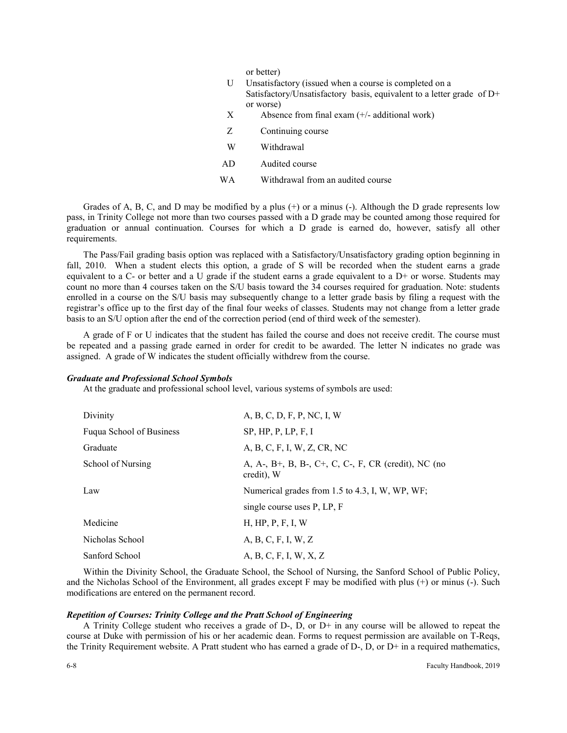or better)

| U   | Unsatisfactory (issued when a course is completed on a<br>Satisfactory/Unsatisfactory basis, equivalent to a letter grade of D+<br>or worse) |
|-----|----------------------------------------------------------------------------------------------------------------------------------------------|
| X   | Absence from final exam $(+/-$ additional work)                                                                                              |
| Z   | Continuing course                                                                                                                            |
| W   | Withdrawal                                                                                                                                   |
| AD. | Audited course                                                                                                                               |
| WА  | Withdrawal from an audited course                                                                                                            |

Grades of A, B, C, and D may be modified by a plus (+) or a minus (-). Although the D grade represents low pass, in Trinity College not more than two courses passed with a D grade may be counted among those required for graduation or annual continuation. Courses for which a D grade is earned do, however, satisfy all other requirements.

The Pass/Fail grading basis option was replaced with a Satisfactory/Unsatisfactory grading option beginning in fall, 2010. When a student elects this option, a grade of S will be recorded when the student earns a grade equivalent to a C- or better and a U grade if the student earns a grade equivalent to a  $D<sup>+</sup>$  or worse. Students may count no more than 4 courses taken on the S/U basis toward the 34 courses required for graduation. Note: students enrolled in a course on the S/U basis may subsequently change to a letter grade basis by filing a request with the registrar's office up to the first day of the final four weeks of classes. Students may not change from a letter grade basis to an S/U option after the end of the correction period (end of third week of the semester).

A grade of F or U indicates that the student has failed the course and does not receive credit. The course must be repeated and a passing grade earned in order for credit to be awarded. The letter N indicates no grade was assigned. A grade of W indicates the student officially withdrew from the course.

#### *Graduate and Professional School Symbols*

At the graduate and professional school level, various systems of symbols are used:

| Divinity                        | A, B, C, D, F, P, NC, I, W                                      |
|---------------------------------|-----------------------------------------------------------------|
| <b>Fugua School of Business</b> | SP, HP, P, LP, F, I                                             |
| Graduate                        | A, B, C, F, I, W, Z, CR, NC                                     |
| School of Nursing               | A, A, B+, B, B, C+, C, C-, F, CR (credit), NC (no<br>credit), W |
| Law                             | Numerical grades from 1.5 to 4.3, I, W, WP, WF;                 |
|                                 | single course uses P, LP, F                                     |
| Medicine                        | H, HP, P, F, I, W                                               |
| Nicholas School                 | A, B, C, F, I, W, Z                                             |
| Sanford School                  | A, B, C, F, I, W, X, Z                                          |

Within the Divinity School, the Graduate School, the School of Nursing, the Sanford School of Public Policy, and the Nicholas School of the Environment, all grades except F may be modified with plus (+) or minus (-). Such modifications are entered on the permanent record.

#### *Repetition of Courses: Trinity College and the Pratt School of Engineering*

A Trinity College student who receives a grade of  $D_2$ ,  $D$ , or  $D_1$  in any course will be allowed to repeat the course at Duke with permission of his or her academic dean. Forms to request permission are available on T-Reqs, the Trinity Requirement website. A Pratt student who has earned a grade of D-, D, or D+ in a required mathematics,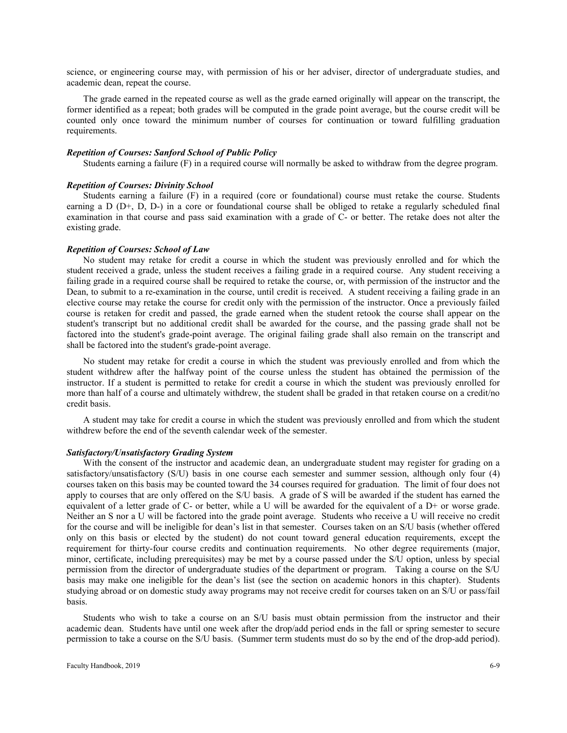science, or engineering course may, with permission of his or her adviser, director of undergraduate studies, and academic dean, repeat the course.

The grade earned in the repeated course as well as the grade earned originally will appear on the transcript, the former identified as a repeat; both grades will be computed in the grade point average, but the course credit will be counted only once toward the minimum number of courses for continuation or toward fulfilling graduation requirements.

#### *Repetition of Courses: Sanford School of Public Policy*

Students earning a failure (F) in a required course will normally be asked to withdraw from the degree program.

### *Repetition of Courses: Divinity School*

Students earning a failure (F) in a required (core or foundational) course must retake the course. Students earning a D (D+, D, D-) in a core or foundational course shall be obliged to retake a regularly scheduled final examination in that course and pass said examination with a grade of C- or better. The retake does not alter the existing grade.

## *Repetition of Courses: School of Law*

No student may retake for credit a course in which the student was previously enrolled and for which the student received a grade, unless the student receives a failing grade in a required course. Any student receiving a failing grade in a required course shall be required to retake the course, or, with permission of the instructor and the Dean, to submit to a re-examination in the course, until credit is received. A student receiving a failing grade in an elective course may retake the course for credit only with the permission of the instructor. Once a previously failed course is retaken for credit and passed, the grade earned when the student retook the course shall appear on the student's transcript but no additional credit shall be awarded for the course, and the passing grade shall not be factored into the student's grade-point average. The original failing grade shall also remain on the transcript and shall be factored into the student's grade-point average.

No student may retake for credit a course in which the student was previously enrolled and from which the student withdrew after the halfway point of the course unless the student has obtained the permission of the instructor. If a student is permitted to retake for credit a course in which the student was previously enrolled for more than half of a course and ultimately withdrew, the student shall be graded in that retaken course on a credit/no credit basis.

A student may take for credit a course in which the student was previously enrolled and from which the student withdrew before the end of the seventh calendar week of the semester.

### *Satisfactory/Unsatisfactory Grading System*

With the consent of the instructor and academic dean, an undergraduate student may register for grading on a satisfactory/unsatisfactory (S/U) basis in one course each semester and summer session, although only four (4) courses taken on this basis may be counted toward the 34 courses required for graduation. The limit of four does not apply to courses that are only offered on the S/U basis. A grade of S will be awarded if the student has earned the equivalent of a letter grade of C- or better, while a U will be awarded for the equivalent of a D+ or worse grade. Neither an S nor a U will be factored into the grade point average. Students who receive a U will receive no credit for the course and will be ineligible for dean's list in that semester. Courses taken on an S/U basis (whether offered only on this basis or elected by the student) do not count toward general education requirements, except the requirement for thirty-four course credits and continuation requirements. No other degree requirements (major, minor, certificate, including prerequisites) may be met by a course passed under the S/U option, unless by special permission from the director of undergraduate studies of the department or program. Taking a course on the S/U basis may make one ineligible for the dean's list (see the section on academic honors in this chapter). Students studying abroad or on domestic study away programs may not receive credit for courses taken on an S/U or pass/fail basis.

Students who wish to take a course on an S/U basis must obtain permission from the instructor and their academic dean. Students have until one week after the drop/add period ends in the fall or spring semester to secure permission to take a course on the S/U basis. (Summer term students must do so by the end of the drop-add period).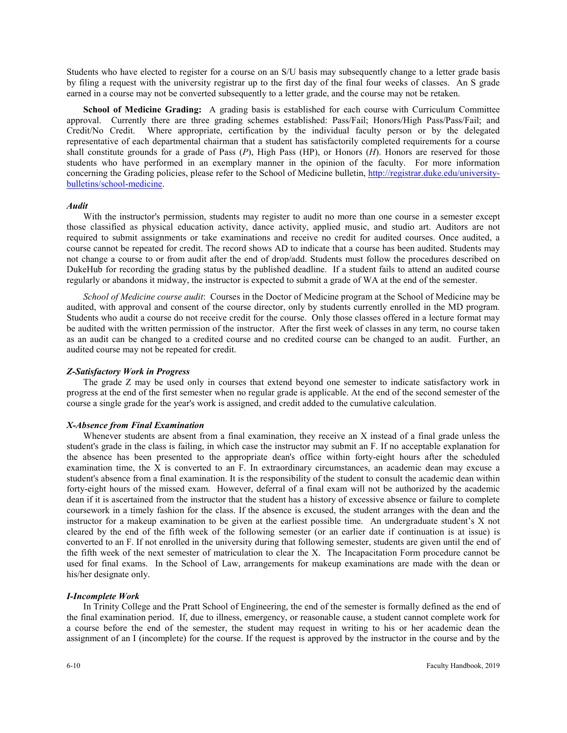Students who have elected to register for a course on an S/U basis may subsequently change to a letter grade basis by filing a request with the university registrar up to the first day of the final four weeks of classes. An S grade earned in a course may not be converted subsequently to a letter grade, and the course may not be retaken.

**School of Medicine Grading:** A grading basis is established for each course with Curriculum Committee approval. Currently there are three grading schemes established: Pass/Fail; Honors/High Pass/Pass/Fail; and Credit/No Credit. Where appropriate, certification by the individual faculty person or by the delegated representative of each departmental chairman that a student has satisfactorily completed requirements for a course shall constitute grounds for a grade of Pass (*P*), High Pass (HP), or Honors (*H*). Honors are reserved for those students who have performed in an exemplary manner in the opinion of the faculty. For more information concerning the Grading policies, please refer to the School of Medicine bulletin, [http://registrar.duke.edu/university](http://registrar.duke.edu/university-bulletins/school-medicine)[bulletins/school-medicine.](http://registrar.duke.edu/university-bulletins/school-medicine) 

#### *Audit*

With the instructor's permission, students may register to audit no more than one course in a semester except those classified as physical education activity, dance activity, applied music, and studio art. Auditors are not required to submit assignments or take examinations and receive no credit for audited courses. Once audited, a course cannot be repeated for credit. The record shows AD to indicate that a course has been audited. Students may not change a course to or from audit after the end of drop/add. Students must follow the procedures described on DukeHub for recording the grading status by the published deadline. If a student fails to attend an audited course regularly or abandons it midway, the instructor is expected to submit a grade of WA at the end of the semester.

*School of Medicine course audit*: Courses in the Doctor of Medicine program at the School of Medicine may be audited, with approval and consent of the course director, only by students currently enrolled in the MD program. Students who audit a course do not receive credit for the course. Only those classes offered in a lecture format may be audited with the written permission of the instructor. After the first week of classes in any term, no course taken as an audit can be changed to a credited course and no credited course can be changed to an audit. Further, an audited course may not be repeated for credit.

### *Z-Satisfactory Work in Progress*

The grade Z may be used only in courses that extend beyond one semester to indicate satisfactory work in progress at the end of the first semester when no regular grade is applicable. At the end of the second semester of the course a single grade for the year's work is assigned, and credit added to the cumulative calculation.

#### *X-Absence from Final Examination*

Whenever students are absent from a final examination, they receive an X instead of a final grade unless the student's grade in the class is failing, in which case the instructor may submit an F. If no acceptable explanation for the absence has been presented to the appropriate dean's office within forty-eight hours after the scheduled examination time, the X is converted to an F. In extraordinary circumstances, an academic dean may excuse a student's absence from a final examination. It is the responsibility of the student to consult the academic dean within forty-eight hours of the missed exam. However, deferral of a final exam will not be authorized by the academic dean if it is ascertained from the instructor that the student has a history of excessive absence or failure to complete coursework in a timely fashion for the class. If the absence is excused, the student arranges with the dean and the instructor for a makeup examination to be given at the earliest possible time. An undergraduate student's X not cleared by the end of the fifth week of the following semester (or an earlier date if continuation is at issue) is converted to an F. If not enrolled in the university during that following semester, students are given until the end of the fifth week of the next semester of matriculation to clear the X. The Incapacitation Form procedure cannot be used for final exams. In the School of Law, arrangements for makeup examinations are made with the dean or his/her designate only.

#### *I-Incomplete Work*

In Trinity College and the Pratt School of Engineering, the end of the semester is formally defined as the end of the final examination period. If, due to illness, emergency, or reasonable cause, a student cannot complete work for a course before the end of the semester, the student may request in writing to his or her academic dean the assignment of an I (incomplete) for the course. If the request is approved by the instructor in the course and by the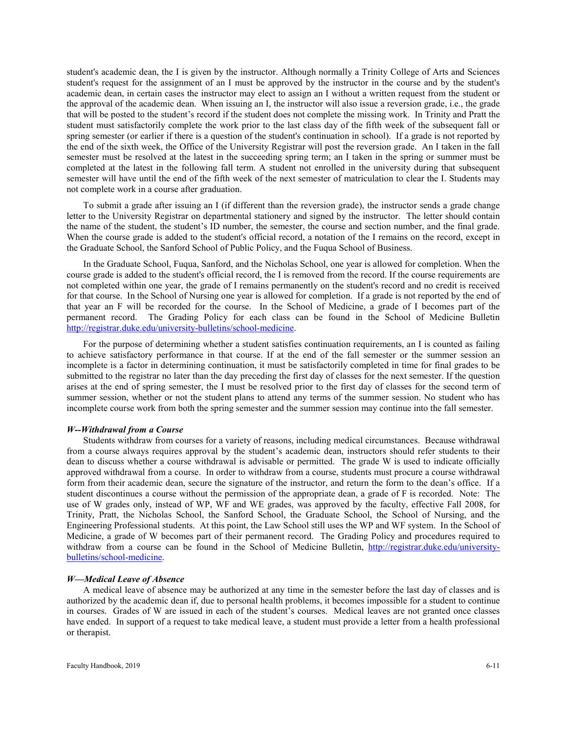student's academic dean, the I is given by the instructor. Although normally a Trinity College of Arts and Sciences student's request for the assignment of an I must be approved by the instructor in the course and by the student's academic dean, in certain cases the instructor may elect to assign an I without a written request from the student or the approval of the academic dean. When issuing an I, the instructor will also issue a reversion grade, i.e., the grade that will be posted to the student's record if the student does not complete the missing work. In Trinity and Pratt the student must satisfactorily complete the work prior to the last class day of the fifth week of the subsequent fall or spring semester (or earlier if there is a question of the student's continuation in school). If a grade is not reported by the end of the sixth week, the Office of the University Registrar will post the reversion grade. An I taken in the fall semester must be resolved at the latest in the succeeding spring term; an I taken in the spring or summer must be completed at the latest in the following fall term. A student not enrolled in the university during that subsequent semester will have until the end of the fifth week of the next semester of matriculation to clear the I. Students may not complete work in a course after graduation.

To submit a grade after issuing an I (if different than the reversion grade), the instructor sends a grade change letter to the University Registrar on departmental stationery and signed by the instructor. The letter should contain the name of the student, the student's ID number, the semester, the course and section number, and the final grade. When the course grade is added to the student's official record, a notation of the I remains on the record, except in the Graduate School, the Sanford School of Public Policy, and the Fuqua School of Business.

In the Graduate School, Fuqua, Sanford, and the Nicholas School, one year is allowed for completion. When the course grade is added to the student's official record, the I is removed from the record. If the course requirements are not completed within one year, the grade of I remains permanently on the student's record and no credit is received for that course. In the School of Nursing one year is allowed for completion. If a grade is not reported by the end of that year an F will be recorded for the course. In the School of Medicine, a grade of I becomes part of the permanent record. The Grading Policy for each class can be found in the School of Medicine Bulletin [http://registrar.duke.edu/university-bulletins/school-medicine.](http://registrar.duke.edu/university-bulletins/school-medicine)

For the purpose of determining whether a student satisfies continuation requirements, an I is counted as failing to achieve satisfactory performance in that course. If at the end of the fall semester or the summer session an incomplete is a factor in determining continuation, it must be satisfactorily completed in time for final grades to be submitted to the registrar no later than the day preceding the first day of classes for the next semester. If the question arises at the end of spring semester, the I must be resolved prior to the first day of classes for the second term of summer session, whether or not the student plans to attend any terms of the summer session. No student who has incomplete course work from both the spring semester and the summer session may continue into the fall semester.

#### *W--Withdrawal from a Course*

Students withdraw from courses for a variety of reasons, including medical circumstances. Because withdrawal from a course always requires approval by the student's academic dean, instructors should refer students to their dean to discuss whether a course withdrawal is advisable or permitted. The grade W is used to indicate officially approved withdrawal from a course. In order to withdraw from a course, students must procure a course withdrawal form from their academic dean, secure the signature of the instructor, and return the form to the dean's office. If a student discontinues a course without the permission of the appropriate dean, a grade of F is recorded. Note: The use of W grades only, instead of WP, WF and WE grades, was approved by the faculty, effective Fall 2008, for Trinity, Pratt, the Nicholas School, the Sanford School, the Graduate School, the School of Nursing, and the Engineering Professional students. At this point, the Law School still uses the WP and WF system. In the School of Medicine, a grade of W becomes part of their permanent record. The Grading Policy and procedures required to withdraw from a course can be found in the School of Medicine Bulletin, [http://registrar.duke.edu/university](http://registrar.duke.edu/university-bulletins/school-medicine)[bulletins/school-medicine.](http://registrar.duke.edu/university-bulletins/school-medicine)

#### *W—Medical Leave of Absence*

A medical leave of absence may be authorized at any time in the semester before the last day of classes and is authorized by the academic dean if, due to personal health problems, it becomes impossible for a student to continue in courses. Grades of W are issued in each of the student's courses. Medical leaves are not granted once classes have ended. In support of a request to take medical leave, a student must provide a letter from a health professional or therapist.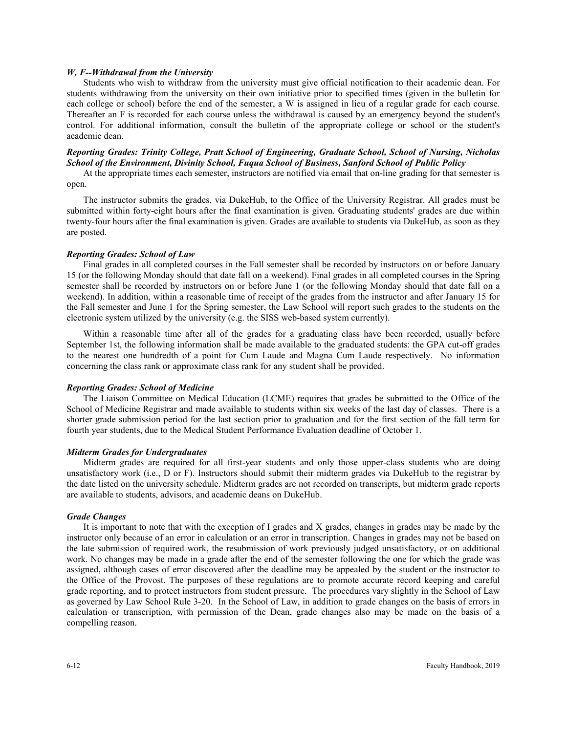#### *W, F--Withdrawal from the University*

Students who wish to withdraw from the university must give official notification to their academic dean. For students withdrawing from the university on their own initiative prior to specified times (given in the bulletin for each college or school) before the end of the semester, a W is assigned in lieu of a regular grade for each course. Thereafter an F is recorded for each course unless the withdrawal is caused by an emergency beyond the student's control. For additional information, consult the bulletin of the appropriate college or school or the student's academic dean.

# *Reporting Grades: Trinity College, Pratt School of Engineering, Graduate School, School of Nursing, Nicholas School of the Environment, Divinity School, Fuqua School of Business, Sanford School of Public Policy*

At the appropriate times each semester, instructors are notified via email that on-line grading for that semester is open.

The instructor submits the grades, via DukeHub, to the Office of the University Registrar. All grades must be submitted within forty-eight hours after the final examination is given. Graduating students' grades are due within twenty-four hours after the final examination is given. Grades are available to students via DukeHub, as soon as they are posted.

#### *Reporting Grades: School of Law*

Final grades in all completed courses in the Fall semester shall be recorded by instructors on or before January 15 (or the following Monday should that date fall on a weekend). Final grades in all completed courses in the Spring semester shall be recorded by instructors on or before June 1 (or the following Monday should that date fall on a weekend). In addition, within a reasonable time of receipt of the grades from the instructor and after January 15 for the Fall semester and June 1 for the Spring semester, the Law School will report such grades to the students on the electronic system utilized by the university (e.g. the SISS web-based system currently).

Within a reasonable time after all of the grades for a graduating class have been recorded, usually before September 1st, the following information shall be made available to the graduated students: the GPA cut-off grades to the nearest one hundredth of a point for Cum Laude and Magna Cum Laude respectively. No information concerning the class rank or approximate class rank for any student shall be provided.

#### *Reporting Grades: School of Medicine*

The Liaison Committee on Medical Education (LCME) requires that grades be submitted to the Office of the School of Medicine Registrar and made available to students within six weeks of the last day of classes. There is a shorter grade submission period for the last section prior to graduation and for the first section of the fall term for fourth year students, due to the Medical Student Performance Evaluation deadline of October 1.

# *Midterm Grades for Undergraduates*

Midterm grades are required for all first-year students and only those upper-class students who are doing unsatisfactory work (i.e., D or F). Instructors should submit their midterm grades via DukeHub to the registrar by the date listed on the university schedule. Midterm grades are not recorded on transcripts, but midterm grade reports are available to students, advisors, and academic deans on DukeHub.

#### *Grade Changes*

It is important to note that with the exception of I grades and X grades, changes in grades may be made by the instructor only because of an error in calculation or an error in transcription. Changes in grades may not be based on the late submission of required work, the resubmission of work previously judged unsatisfactory, or on additional work. No changes may be made in a grade after the end of the semester following the one for which the grade was assigned, although cases of error discovered after the deadline may be appealed by the student or the instructor to the Office of the Provost. The purposes of these regulations are to promote accurate record keeping and careful grade reporting, and to protect instructors from student pressure. The procedures vary slightly in the School of Law as governed by Law School Rule 3-20. In the School of Law, in addition to grade changes on the basis of errors in calculation or transcription, with permission of the Dean, grade changes also may be made on the basis of a compelling reason.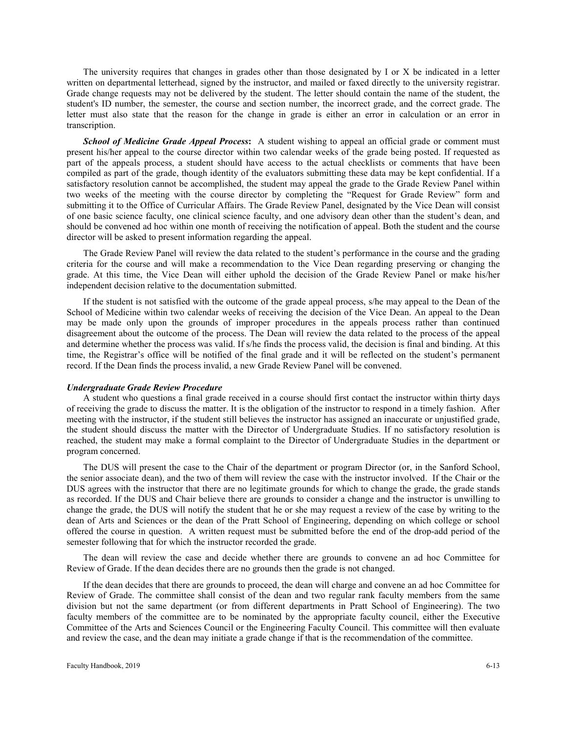The university requires that changes in grades other than those designated by I or X be indicated in a letter written on departmental letterhead, signed by the instructor, and mailed or faxed directly to the university registrar. Grade change requests may not be delivered by the student. The letter should contain the name of the student, the student's ID number, the semester, the course and section number, the incorrect grade, and the correct grade. The letter must also state that the reason for the change in grade is either an error in calculation or an error in transcription.

*School of Medicine Grade Appeal Process***:** A student wishing to appeal an official grade or comment must present his/her appeal to the course director within two calendar weeks of the grade being posted. If requested as part of the appeals process, a student should have access to the actual checklists or comments that have been compiled as part of the grade, though identity of the evaluators submitting these data may be kept confidential. If a satisfactory resolution cannot be accomplished, the student may appeal the grade to the Grade Review Panel within two weeks of the meeting with the course director by completing the "Request for Grade Review" form and submitting it to the Office of Curricular Affairs. The Grade Review Panel, designated by the Vice Dean will consist of one basic science faculty, one clinical science faculty, and one advisory dean other than the student's dean, and should be convened ad hoc within one month of receiving the notification of appeal. Both the student and the course director will be asked to present information regarding the appeal.

The Grade Review Panel will review the data related to the student's performance in the course and the grading criteria for the course and will make a recommendation to the Vice Dean regarding preserving or changing the grade. At this time, the Vice Dean will either uphold the decision of the Grade Review Panel or make his/her independent decision relative to the documentation submitted.

If the student is not satisfied with the outcome of the grade appeal process, s/he may appeal to the Dean of the School of Medicine within two calendar weeks of receiving the decision of the Vice Dean. An appeal to the Dean may be made only upon the grounds of improper procedures in the appeals process rather than continued disagreement about the outcome of the process. The Dean will review the data related to the process of the appeal and determine whether the process was valid. If s/he finds the process valid, the decision is final and binding. At this time, the Registrar's office will be notified of the final grade and it will be reflected on the student's permanent record. If the Dean finds the process invalid, a new Grade Review Panel will be convened.

#### *Undergraduate Grade Review Procedure*

A student who questions a final grade received in a course should first contact the instructor within thirty days of receiving the grade to discuss the matter. It is the obligation of the instructor to respond in a timely fashion. After meeting with the instructor, if the student still believes the instructor has assigned an inaccurate or unjustified grade, the student should discuss the matter with the Director of Undergraduate Studies. If no satisfactory resolution is reached, the student may make a formal complaint to the Director of Undergraduate Studies in the department or program concerned.

The DUS will present the case to the Chair of the department or program Director (or, in the Sanford School, the senior associate dean), and the two of them will review the case with the instructor involved. If the Chair or the DUS agrees with the instructor that there are no legitimate grounds for which to change the grade, the grade stands as recorded. If the DUS and Chair believe there are grounds to consider a change and the instructor is unwilling to change the grade, the DUS will notify the student that he or she may request a review of the case by writing to the dean of Arts and Sciences or the dean of the Pratt School of Engineering, depending on which college or school offered the course in question. A written request must be submitted before the end of the drop-add period of the semester following that for which the instructor recorded the grade.

The dean will review the case and decide whether there are grounds to convene an ad hoc Committee for Review of Grade. If the dean decides there are no grounds then the grade is not changed.

If the dean decides that there are grounds to proceed, the dean will charge and convene an ad hoc Committee for Review of Grade. The committee shall consist of the dean and two regular rank faculty members from the same division but not the same department (or from different departments in Pratt School of Engineering). The two faculty members of the committee are to be nominated by the appropriate faculty council, either the Executive Committee of the Arts and Sciences Council or the Engineering Faculty Council. This committee will then evaluate and review the case, and the dean may initiate a grade change if that is the recommendation of the committee.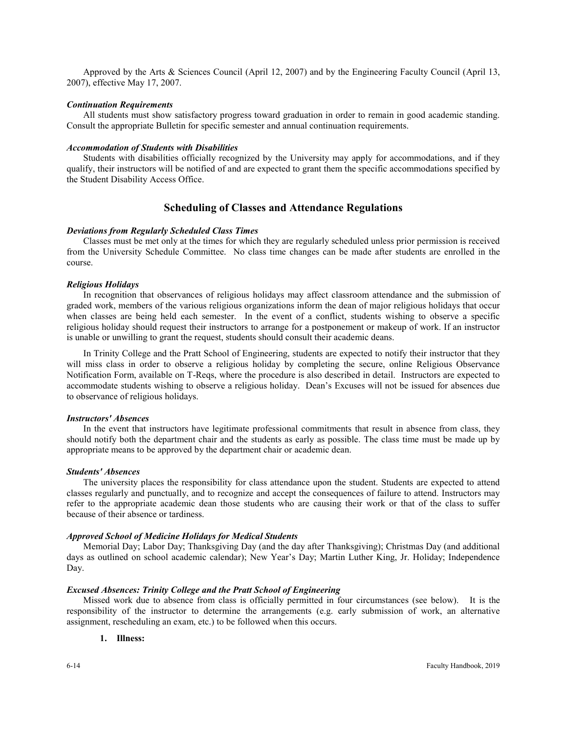Approved by the Arts & Sciences Council (April 12, 2007) and by the Engineering Faculty Council (April 13, 2007), effective May 17, 2007.

#### *Continuation Requirements*

All students must show satisfactory progress toward graduation in order to remain in good academic standing. Consult the appropriate Bulletin for specific semester and annual continuation requirements.

# *Accommodation of Students with Disabilities*

Students with disabilities officially recognized by the University may apply for accommodations, and if they qualify, their instructors will be notified of and are expected to grant them the specific accommodations specified by the Student Disability Access Office.

# **Scheduling of Classes and Attendance Regulations**

#### *Deviations from Regularly Scheduled Class Times*

Classes must be met only at the times for which they are regularly scheduled unless prior permission is received from the University Schedule Committee. No class time changes can be made after students are enrolled in the course.

# *Religious Holidays*

In recognition that observances of religious holidays may affect classroom attendance and the submission of graded work, members of the various religious organizations inform the dean of major religious holidays that occur when classes are being held each semester. In the event of a conflict, students wishing to observe a specific religious holiday should request their instructors to arrange for a postponement or makeup of work. If an instructor is unable or unwilling to grant the request, students should consult their academic deans.

In Trinity College and the Pratt School of Engineering, students are expected to notify their instructor that they will miss class in order to observe a religious holiday by completing the secure, online Religious Observance Notification Form, available on T-Reqs, where the procedure is also described in detail. Instructors are expected to accommodate students wishing to observe a religious holiday. Dean's Excuses will not be issued for absences due to observance of religious holidays.

# *Instructors' Absences*

In the event that instructors have legitimate professional commitments that result in absence from class, they should notify both the department chair and the students as early as possible. The class time must be made up by appropriate means to be approved by the department chair or academic dean.

#### *Students' Absences*

The university places the responsibility for class attendance upon the student. Students are expected to attend classes regularly and punctually, and to recognize and accept the consequences of failure to attend. Instructors may refer to the appropriate academic dean those students who are causing their work or that of the class to suffer because of their absence or tardiness.

#### *Approved School of Medicine Holidays for Medical Students*

Memorial Day; Labor Day; Thanksgiving Day (and the day after Thanksgiving); Christmas Day (and additional days as outlined on school academic calendar); New Year's Day; Martin Luther King, Jr. Holiday; Independence Day.

# *Excused Absences: Trinity College and the Pratt School of Engineering*

Missed work due to absence from class is officially permitted in four circumstances (see below). It is the responsibility of the instructor to determine the arrangements (e.g. early submission of work, an alternative assignment, rescheduling an exam, etc.) to be followed when this occurs.

#### **1. Illness:**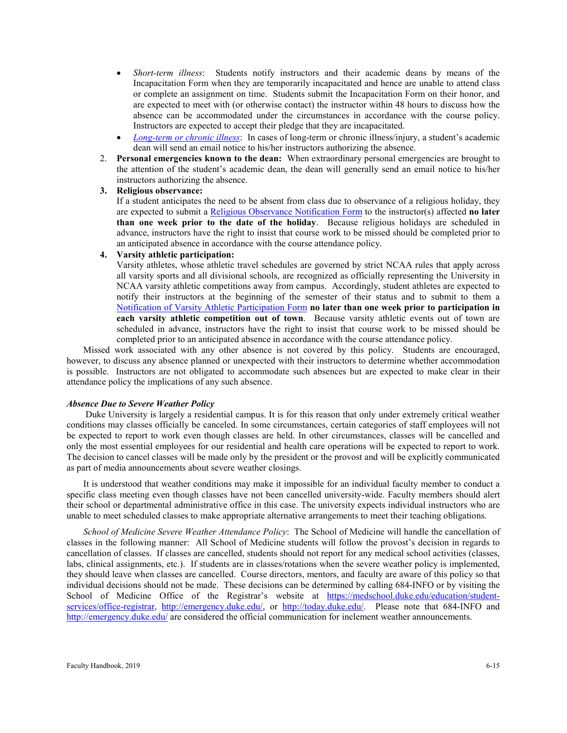- *Short-term illness*: Students notify instructors and their academic deans by means of the Incapacitation Form when they are temporarily incapacitated and hence are unable to attend class or complete an assignment on time. Students submit the Incapacitation Form on their honor, and are expected to meet with (or otherwise contact) the instructor within 48 hours to discuss how the absence can be accommodated under the circumstances in accordance with the course policy. Instructors are expected to accept their pledge that they are incapacitated.
- *[Long-term or chronic illness](http://trinity.duke.edu/academic-requirements?p=policy-short-term-illness-notification)*: In cases of long-term or chronic illness/injury, a student's academic dean will send an email notice to his/her instructors authorizing the absence.
- 2. **Personal emergencies known to the dean:** When extraordinary personal emergencies are brought to the attention of the student's academic dean, the dean will generally send an email notice to his/her instructors authorizing the absence.
- **3. Religious observance:**

If a student anticipates the need to be absent from class due to observance of a religious holiday, they are expected to submit a [Religious Observance Notification Form](http://trinity.duke.edu/academic-requirements?p=religious-observance) to the instructor(s) affected **no later than one week prior to the date of the holiday**. Because religious holidays are scheduled in advance, instructors have the right to insist that course work to be missed should be completed prior to an anticipated absence in accordance with the course attendance policy.

# **4. Varsity athletic participation:**

Varsity athletes, whose athletic travel schedules are governed by strict NCAA rules that apply across all varsity sports and all divisional schools, are recognized as officially representing the University in NCAA varsity athletic competitions away from campus. Accordingly, student athletes are expected to notify their instructors at the beginning of the semester of their status and to submit to them a [Notification of Varsity Athletic Participation Form](http://trinity.duke.edu/undergraduate/academic-policies/athletic-varsity-participation) **no later than one week prior to participation in each varsity athletic competition out of town**. Because varsity athletic events out of town are scheduled in advance, instructors have the right to insist that course work to be missed should be completed prior to an anticipated absence in accordance with the course attendance policy.

Missed work associated with any other absence is not covered by this policy. Students are encouraged, however, to discuss any absence planned or unexpected with their instructors to determine whether accommodation is possible. Instructors are not obligated to accommodate such absences but are expected to make clear in their attendance policy the implications of any such absence.

# *Absence Due to Severe Weather Policy*

Duke University is largely a residential campus. It is for this reason that only under extremely critical weather conditions may classes officially be canceled. In some circumstances, certain categories of staff employees will not be expected to report to work even though classes are held. In other circumstances, classes will be cancelled and only the most essential employees for our residential and health care operations will be expected to report to work. The decision to cancel classes will be made only by the president or the provost and will be explicitly communicated as part of media announcements about severe weather closings.

It is understood that weather conditions may make it impossible for an individual faculty member to conduct a specific class meeting even though classes have not been cancelled university-wide. Faculty members should alert their school or departmental administrative office in this case. The university expects individual instructors who are unable to meet scheduled classes to make appropriate alternative arrangements to meet their teaching obligations.

*School of Medicine Severe Weather Attendance Policy*: The School of Medicine will handle the cancellation of classes in the following manner: All School of Medicine students will follow the provost's decision in regards to cancellation of classes. If classes are cancelled, students should not report for any medical school activities (classes, labs, clinical assignments, etc.). If students are in classes/rotations when the severe weather policy is implemented, they should leave when classes are cancelled. Course directors, mentors, and faculty are aware of this policy so that individual decisions should not be made. These decisions can be determined by calling 684-INFO or by visiting the School of Medicine Office of the Registrar's website at [https://medschool.duke.edu/education/student](https://medschool.duke.edu/education/student-services/office-registrar)[services/office-registrar,](https://medschool.duke.edu/education/student-services/office-registrar) [http://emergency.duke.edu/,](http://emergency.duke.edu/) or [http://today.duke.edu/.](http://today.duke.edu/) Please note that 684-INFO and <http://emergency.duke.edu/> are considered the official communication for inclement weather announcements.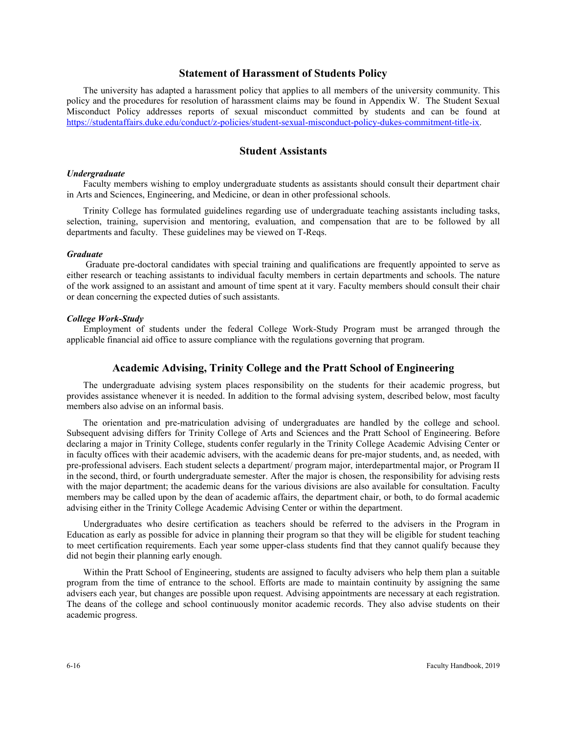# **Statement of Harassment of Students Policy**

The university has adapted a harassment policy that applies to all members of the university community. This policy and the procedures for resolution of harassment claims may be found in Appendix W. The Student Sexual Misconduct Policy addresses reports of sexual misconduct committed by students and can be found at [https://studentaffairs.duke.edu/conduct/z-policies/student-sexual-misconduct-policy-dukes-commitment-title-ix.](https://studentaffairs.duke.edu/conduct/z-policies/student-sexual-misconduct-policy-dukes-commitment-title-ix)

# **Student Assistants**

#### *Undergraduate*

Faculty members wishing to employ undergraduate students as assistants should consult their department chair in Arts and Sciences, Engineering, and Medicine, or dean in other professional schools.

Trinity College has formulated guidelines regarding use of undergraduate teaching assistants including tasks, selection, training, supervision and mentoring, evaluation, and compensation that are to be followed by all departments and faculty. These guidelines may be viewed on T-Reqs.

#### *Graduate*

Graduate pre-doctoral candidates with special training and qualifications are frequently appointed to serve as either research or teaching assistants to individual faculty members in certain departments and schools. The nature of the work assigned to an assistant and amount of time spent at it vary. Faculty members should consult their chair or dean concerning the expected duties of such assistants.

#### *College Work-Study*

Employment of students under the federal College Work-Study Program must be arranged through the applicable financial aid office to assure compliance with the regulations governing that program.

# **Academic Advising, Trinity College and the Pratt School of Engineering**

The undergraduate advising system places responsibility on the students for their academic progress, but provides assistance whenever it is needed. In addition to the formal advising system, described below, most faculty members also advise on an informal basis.

The orientation and pre-matriculation advising of undergraduates are handled by the college and school. Subsequent advising differs for Trinity College of Arts and Sciences and the Pratt School of Engineering. Before declaring a major in Trinity College, students confer regularly in the Trinity College Academic Advising Center or in faculty offices with their academic advisers, with the academic deans for pre-major students, and, as needed, with pre-professional advisers. Each student selects a department/ program major, interdepartmental major, or Program II in the second, third, or fourth undergraduate semester. After the major is chosen, the responsibility for advising rests with the major department; the academic deans for the various divisions are also available for consultation. Faculty members may be called upon by the dean of academic affairs, the department chair, or both, to do formal academic advising either in the Trinity College Academic Advising Center or within the department.

Undergraduates who desire certification as teachers should be referred to the advisers in the Program in Education as early as possible for advice in planning their program so that they will be eligible for student teaching to meet certification requirements. Each year some upper-class students find that they cannot qualify because they did not begin their planning early enough.

Within the Pratt School of Engineering, students are assigned to faculty advisers who help them plan a suitable program from the time of entrance to the school. Efforts are made to maintain continuity by assigning the same advisers each year, but changes are possible upon request. Advising appointments are necessary at each registration. The deans of the college and school continuously monitor academic records. They also advise students on their academic progress.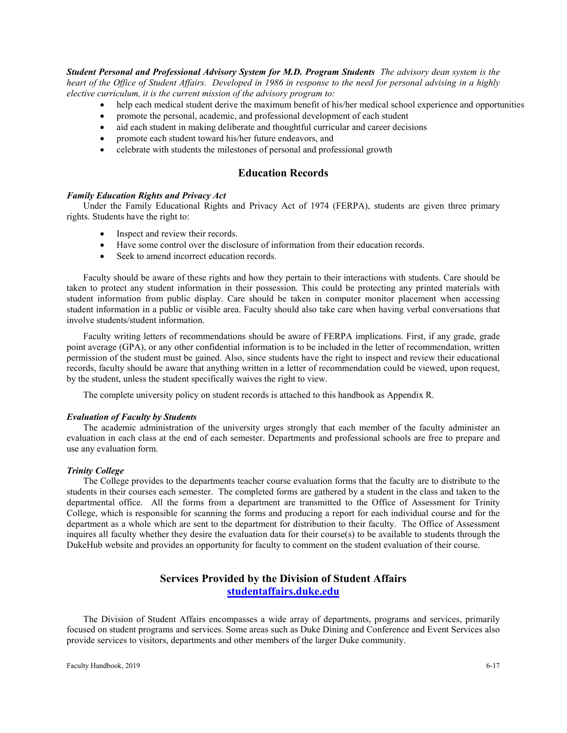*Student Personal and Professional Advisory System for M.D. Program Students The advisory dean system is the heart of the Office of Student Affairs. Developed in 1986 in response to the need for personal advising in a highly elective curriculum, it is the current mission of the advisory program to:*

- help each medical student derive the maximum benefit of his/her medical school experience and opportunities
	- promote the personal, academic, and professional development of each student
- aid each student in making deliberate and thoughtful curricular and career decisions
- promote each student toward his/her future endeavors, and
- celebrate with students the milestones of personal and professional growth

# **Education Records**

#### *Family Education Rights and Privacy Act*

Under the Family Educational Rights and Privacy Act of 1974 (FERPA), students are given three primary rights. Students have the right to:

- Inspect and review their records.
- Have some control over the disclosure of information from their education records.
- Seek to amend incorrect education records.

Faculty should be aware of these rights and how they pertain to their interactions with students. Care should be taken to protect any student information in their possession. This could be protecting any printed materials with student information from public display. Care should be taken in computer monitor placement when accessing student information in a public or visible area. Faculty should also take care when having verbal conversations that involve students/student information.

Faculty writing letters of recommendations should be aware of FERPA implications. First, if any grade, grade point average (GPA), or any other confidential information is to be included in the letter of recommendation, written permission of the student must be gained. Also, since students have the right to inspect and review their educational records, faculty should be aware that anything written in a letter of recommendation could be viewed, upon request, by the student, unless the student specifically waives the right to view.

The complete university policy on student records is attached to this handbook as Appendix R.

### *Evaluation of Faculty by Students*

The academic administration of the university urges strongly that each member of the faculty administer an evaluation in each class at the end of each semester. Departments and professional schools are free to prepare and use any evaluation form.

#### *Trinity College*

The College provides to the departments teacher course evaluation forms that the faculty are to distribute to the students in their courses each semester. The completed forms are gathered by a student in the class and taken to the departmental office. All the forms from a department are transmitted to the Office of Assessment for Trinity College, which is responsible for scanning the forms and producing a report for each individual course and for the department as a whole which are sent to the department for distribution to their faculty. The Office of Assessment inquires all faculty whether they desire the evaluation data for their course(s) to be available to students through the DukeHub website and provides an opportunity for faculty to comment on the student evaluation of their course.

# **Services Provided by the Division of Student Affairs [studentaffairs.duke.edu](http://studentaffairs.duke.edu/)**

The Division of Student Affairs encompasses a wide array of departments, programs and services, primarily focused on student programs and services. Some areas such as Duke Dining and Conference and Event Services also provide services to visitors, departments and other members of the larger Duke community.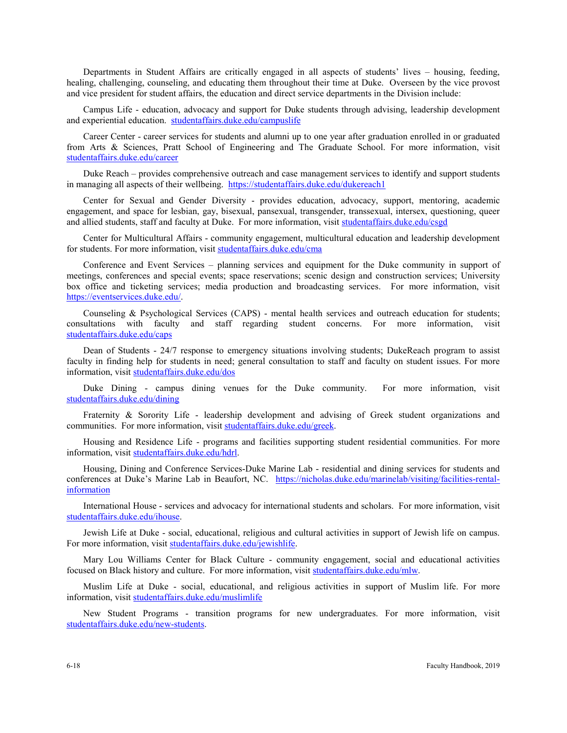Departments in Student Affairs are critically engaged in all aspects of students' lives – housing, feeding, healing, challenging, counseling, and educating them throughout their time at Duke. Overseen by the vice provost and vice president for student affairs, the education and direct service departments in the Division include:

Campus Life - education, advocacy and support for Duke students through advising, leadership development and experiential education. [studentaffairs.duke.edu/campuslife](http://studentaffairs.duke.edu/campuslife) 

Career Center - career services for students and alumni up to one year after graduation enrolled in or graduated from Arts & Sciences, Pratt School of Engineering and The Graduate School. For more information, visit [studentaffairs.duke.edu/career](http://www.studentaffairs.duke.edu/career)

Duke Reach – provides comprehensive outreach and case management services to identify and support students in managing all aspects of their wellbeing.<https://studentaffairs.duke.edu/dukereach1>

Center for Sexual and Gender Diversity - provides education, advocacy, support, mentoring, academic engagement, and space for lesbian, gay, bisexual, pansexual, transgender, transsexual, intersex, questioning, queer and allied students, staff and faculty at Duke. For more information, visit [studentaffairs.duke.edu/csgd](http://studentaffairs.duke.edu/csgd)

Center for Multicultural Affairs - community engagement, multicultural education and leadership development for students. For more information, visit [studentaffairs.duke.edu/cma](http://www.studentaffairs.duke.edu/cma)

Conference and Event Services – planning services and equipment for the Duke community in support of meetings, conferences and special events; space reservations; scenic design and construction services; University box office and ticketing services; media production and broadcasting services. For more information, visit [https://eventservices.duke.edu/.](https://eventservices.duke.edu/)

Counseling & Psychological Services (CAPS) - mental health services and outreach education for students; consultations with faculty and staff regarding student concerns. For more information, visit [studentaffairs.duke.edu/caps](http://www.studentaffairs.duke.edu/caps)

Dean of Students - 24/7 response to emergency situations involving students; DukeReach program to assist faculty in finding help for students in need; general consultation to staff and faculty on student issues. For more information, visit [studentaffairs.duke.edu/dos](http://www.studentaffairs.duke.edu/dos)

Duke Dining - campus dining venues for the Duke community. For more information, visit [studentaffairs.duke.edu/dining](http://www.studentaffairs.duke.edu/dining)

Fraternity & Sorority Life - leadership development and advising of Greek student organizations and communities. For more information, visit [studentaffairs.duke.edu/greek.](http://www.studentaffairs.duke.edu/greek)

Housing and Residence Life - programs and facilities supporting student residential communities. For more information, visit [studentaffairs.duke.edu/hdrl.](http://www.studentaffairs.duke.edu/hdrl)

Housing, Dining and Conference Services-Duke Marine Lab - residential and dining services for students and conferences at Duke's Marine Lab in Beaufort, NC. [https://nicholas.duke.edu/marinelab/visiting/facilities-rental](https://nicholas.duke.edu/marinelab/visiting/facilities-rental-information)[information](https://nicholas.duke.edu/marinelab/visiting/facilities-rental-information)

International House - services and advocacy for international students and scholars. For more information, visit [studentaffairs.duke.edu/ihouse.](http://www.studentaffairs.duke.edu/ihouse)

Jewish Life at Duke - social, educational, religious and cultural activities in support of Jewish life on campus. For more information, visit [studentaffairs.duke.edu/jewishlife.](http://www.studentaffairs.duke.edu/jewishlife)

Mary Lou Williams Center for Black Culture - community engagement, social and educational activities focused on Black history and culture. For more information, visit [studentaffairs.duke.edu/mlw.](http://www.studentaffairs.duke.edu/mlw)

Muslim Life at Duke - social, educational, and religious activities in support of Muslim life. For more information, visit [studentaffairs.duke.edu/muslimlife](http://www.studentaffairs.duke.edu/muslimlife)

New Student Programs - transition programs for new undergraduates. For more information, visit [studentaffairs.duke.edu/new-students.](http://www.studentaffairs.duke.edu/new-students)